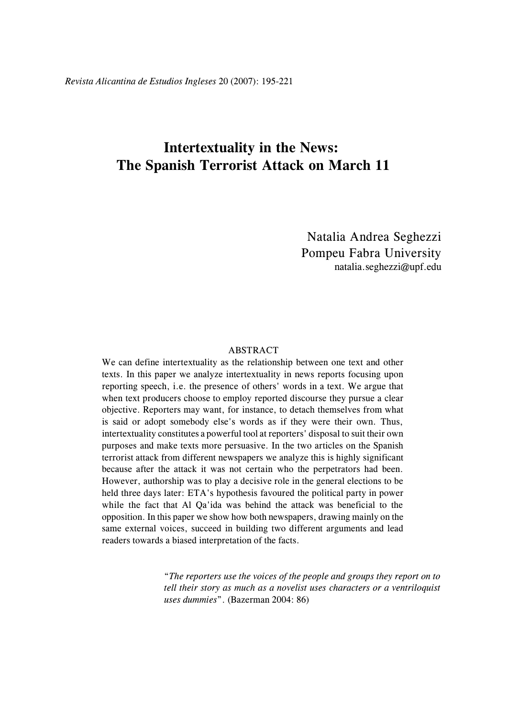# **Intertextuality in the News: The Spanish Terrorist Attack on March 11**

Natalia Andrea Seghezzi Pompeu Fabra University natalia.seghezzi@upf.edu

#### ABSTRACT

We can define intertextuality as the relationship between one text and other texts. In this paper we analyze intertextuality in news reports focusing upon reporting speech, i.e. the presence of others' words in a text. We argue that when text producers choose to employ reported discourse they pursue a clear objective. Reporters may want, for instance, to detach themselves from what is said or adopt somebody else's words as if they were their own. Thus, intertextuality constitutes a powerful tool at reporters' disposal to suit their own purposes and make texts more persuasive. In the two articles on the Spanish terrorist attack from different newspapers we analyze this is highly significant because after the attack it was not certain who the perpetrators had been. However, authorship was to play a decisive role in the general elections to be held three days later: ETA's hypothesis favoured the political party in power while the fact that Al Qa'ida was behind the attack was beneficial to the opposition. In this paper we show how both newspapers, drawing mainly on the same external voices, succeed in building two different arguments and lead readers towards a biased interpretation of the facts.

> "*The reporters use the voices of the people and groups they report on to tell their story as much as a novelist uses characters or a ventriloquist uses dummies*". (Bazerman 2004: 86)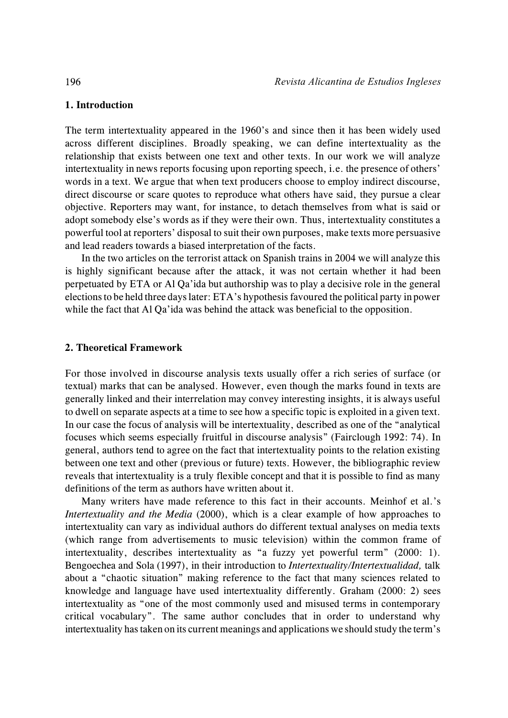# **1. Introduction**

The term intertextuality appeared in the 1960's and since then it has been widely used across different disciplines. Broadly speaking, we can define intertextuality as the relationship that exists between one text and other texts. In our work we will analyze intertextuality in news reports focusing upon reporting speech, i.e. the presence of others' words in a text. We argue that when text producers choose to employ indirect discourse, direct discourse or scare quotes to reproduce what others have said, they pursue a clear objective. Reporters may want, for instance, to detach themselves from what is said or adopt somebody else's words as if they were their own. Thus, intertextuality constitutes a powerful tool at reporters' disposal to suit their own purposes, make texts more persuasive and lead readers towards a biased interpretation of the facts.

In the two articles on the terrorist attack on Spanish trains in 2004 we will analyze this is highly significant because after the attack, it was not certain whether it had been perpetuated by ETA or Al Qa'ida but authorship was to play a decisive role in the general elections to be held three days later: ETA's hypothesis favoured the political party in power while the fact that Al Qa'ida was behind the attack was beneficial to the opposition.

## **2. Theoretical Framework**

For those involved in discourse analysis texts usually offer a rich series of surface (or textual) marks that can be analysed. However, even though the marks found in texts are generally linked and their interrelation may convey interesting insights, it is always useful to dwell on separate aspects at a time to see how a specific topic is exploited in a given text. In our case the focus of analysis will be intertextuality, described as one of the "analytical focuses which seems especially fruitful in discourse analysis" (Fairclough 1992: 74). In general, authors tend to agree on the fact that intertextuality points to the relation existing between one text and other (previous or future) texts. However, the bibliographic review reveals that intertextuality is a truly flexible concept and that it is possible to find as many definitions of the term as authors have written about it.

Many writers have made reference to this fact in their accounts. Meinhof et al.'s *Intertextuality and the Media* (2000), which is a clear example of how approaches to intertextuality can vary as individual authors do different textual analyses on media texts (which range from advertisements to music television) within the common frame of intertextuality, describes intertextuality as "a fuzzy yet powerful term" (2000: 1). Bengoechea and Sola (1997), in their introduction to *Intertextuality/Intertextualidad,* talk about a "chaotic situation" making reference to the fact that many sciences related to knowledge and language have used intertextuality differently. Graham (2000: 2) sees intertextuality as "one of the most commonly used and misused terms in contemporary critical vocabulary". The same author concludes that in order to understand why intertextuality has taken on its current meanings and applications we should study the term's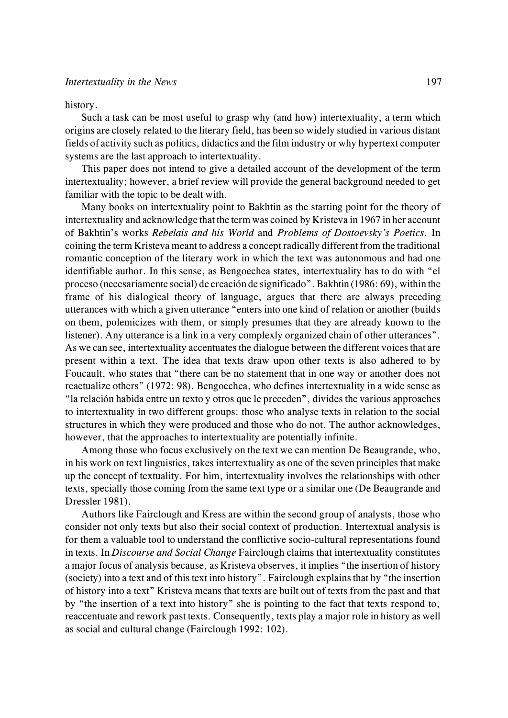#### history.

Such a task can be most useful to grasp why (and how) intertextuality, a term which origins are closely related to the literary field, has been so widely studied in various distant fields of activity such as politics, didactics and the film industry or why hypertext computer systems are the last approach to intertextuality.

This paper does not intend to give a detailed account of the development of the term intertextuality; however, a brief review will provide the general background needed to get familiar with the topic to be dealt with.

Many books on intertextuality point to Bakhtin as the starting point for the theory of intertextuality and acknowledge that the term was coined by Kristeva in 1967 in her account of Bakhtin's works *Rebelais and his World* and *Problems of Dostoevsky's Poetics*. In coining the term Kristeva meant to address a concept radically different from the traditional romantic conception of the literary work in which the text was autonomous and had one identifiable author. In this sense, as Bengoechea states, intertextuality has to do with "el proceso (necesariamente social) de creación de significado". Bakhtin (1986: 69), within the frame of his dialogical theory of language, argues that there are always preceding utterances with which a given utterance "enters into one kind of relation or another (builds on them, polemicizes with them, or simply presumes that they are already known to the listener). Any utterance is a link in a very complexly organized chain of other utterances". As we can see, intertextuality accentuates the dialogue between the different voices that are present within a text. The idea that texts draw upon other texts is also adhered to by Foucault, who states that "there can be no statement that in one way or another does not reactualize others" (1972: 98). Bengoechea, who defines intertextuality in a wide sense as "la relación habida entre un texto y otros que le preceden", divides the various approaches to intertextuality in two different groups: those who analyse texts in relation to the social structures in which they were produced and those who do not. The author acknowledges, however, that the approaches to intertextuality are potentially infinite.

Among those who focus exclusively on the text we can mention De Beaugrande, who, in his work on text linguistics, takes intertextuality as one of the seven principles that make up the concept of textuality. For him, intertextuality involves the relationships with other texts, specially those coming from the same text type or a similar one (De Beaugrande and Dressler 1981).

Authors like Fairclough and Kress are within the second group of analysts, those who consider not only texts but also their social context of production. Intertextual analysis is for them a valuable tool to understand the conflictive socio-cultural representations found in texts. In *Discourse and Social Change* Fairclough claims that intertextuality constitutes a major focus of analysis because, as Kristeva observes, it implies "the insertion of history (society) into a text and of this text into history". Fairclough explainsthat by "the insertion of history into a text" Kristeva means that texts are built out of texts from the past and that by "the insertion of a text into history" she is pointing to the fact that texts respond to, reaccentuate and rework past texts. Consequently, texts play a major role in history as well as social and cultural change (Fairclough 1992: 102).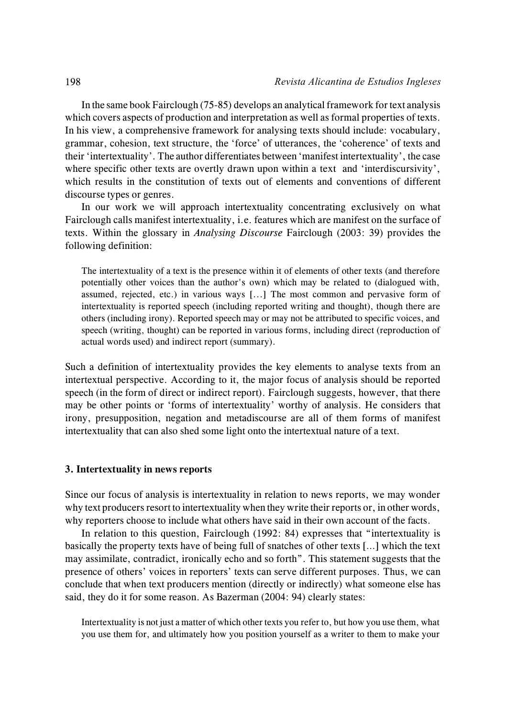In the same book Fairclough (75-85) develops an analytical framework for text analysis which covers aspects of production and interpretation as well as formal properties of texts. In his view, a comprehensive framework for analysing texts should include: vocabulary, grammar, cohesion, text structure, the 'force' of utterances, the 'coherence' of texts and their 'intertextuality'. The author differentiates between 'manifest intertextuality', the case where specific other texts are overtly drawn upon within a text and 'interdiscursivity', which results in the constitution of texts out of elements and conventions of different discourse types or genres.

In our work we will approach intertextuality concentrating exclusively on what Fairclough calls manifest intertextuality, i.e. features which are manifest on the surface of texts. Within the glossary in *Analysing Discourse* Fairclough (2003: 39) provides the following definition:

The intertextuality of a text is the presence within it of elements of other texts (and therefore potentially other voices than the author's own) which may be related to (dialogued with, assumed, rejected, etc.) in various ways [...] The most common and pervasive form of intertextuality is reported speech (including reported writing and thought), though there are others (including irony). Reported speech may or may not be attributed to specific voices, and speech (writing, thought) can be reported in various forms, including direct (reproduction of actual words used) and indirect report (summary).

Such a definition of intertextuality provides the key elements to analyse texts from an intertextual perspective. According to it, the major focus of analysis should be reported speech (in the form of direct or indirect report). Fairclough suggests, however, that there may be other points or 'forms of intertextuality' worthy of analysis. He considers that irony, presupposition, negation and metadiscourse are all of them forms of manifest intertextuality that can also shed some light onto the intertextual nature of a text.

#### **3. Intertextuality in news reports**

Since our focus of analysis is intertextuality in relation to news reports, we may wonder why text producers resort to intertextuality when they write their reports or, in other words, why reporters choose to include what others have said in their own account of the facts.

In relation to this question, Fairclough (1992: 84) expresses that "intertextuality is basically the property texts have of being full of snatches of other texts […] which the text may assimilate, contradict, ironically echo and so forth". This statement suggests that the presence of others' voices in reporters' texts can serve different purposes. Thus, we can conclude that when text producers mention (directly or indirectly) what someone else has said, they do it for some reason. As Bazerman (2004: 94) clearly states:

Intertextuality is not just a matter of which other texts you refer to, but how you use them, what you use them for, and ultimately how you position yourself as a writer to them to make your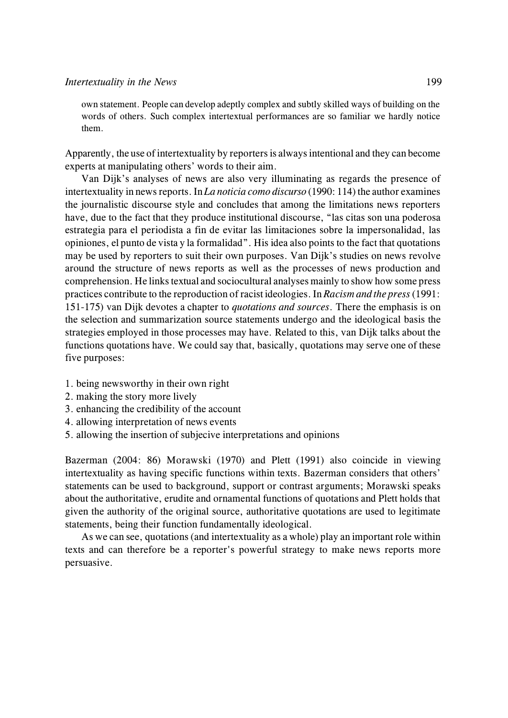own statement. People can develop adeptly complex and subtly skilled ways of building on the words of others. Such complex intertextual performances are so familiar we hardly notice them.

Apparently, the use of intertextuality by reporters is always intentional and they can become experts at manipulating others' words to their aim.

Van Dijk's analyses of news are also very illuminating as regards the presence of intertextuality in news reports. In *La noticia como discurso* (1990: 114) the author examines the journalistic discourse style and concludes that among the limitations news reporters have, due to the fact that they produce institutional discourse, "las citas son una poderosa estrategia para el periodista a fin de evitar las limitaciones sobre la impersonalidad, las opiniones, el punto de vista y la formalidad". His idea also points to the fact that quotations may be used by reporters to suit their own purposes. Van Dijk's studies on news revolve around the structure of news reports as well as the processes of news production and comprehension. He links textual and sociocultural analyses mainly to show how some press practices contribute to the reproduction of racist ideologies. In *Racism and the press* (1991: 151-175) van Dijk devotes a chapter to *quotations and sources*. There the emphasis is on the selection and summarization source statements undergo and the ideological basis the strategies employed in those processes may have. Related to this, van Dijk talks about the functions quotations have. We could say that, basically, quotations may serve one of these five purposes:

- 1. being newsworthy in their own right
- 2. making the story more lively
- 3. enhancing the credibility of the account
- 4. allowing interpretation of news events
- 5. allowing the insertion of subjecive interpretations and opinions

Bazerman (2004: 86) Morawski (1970) and Plett (1991) also coincide in viewing intertextuality as having specific functions within texts. Bazerman considers that others' statements can be used to background, support or contrast arguments; Morawski speaks about the authoritative, erudite and ornamental functions of quotations and Plett holds that given the authority of the original source, authoritative quotations are used to legitimate statements, being their function fundamentally ideological.

As we can see, quotations (and intertextuality as a whole) play an important role within texts and can therefore be a reporter's powerful strategy to make news reports more persuasive.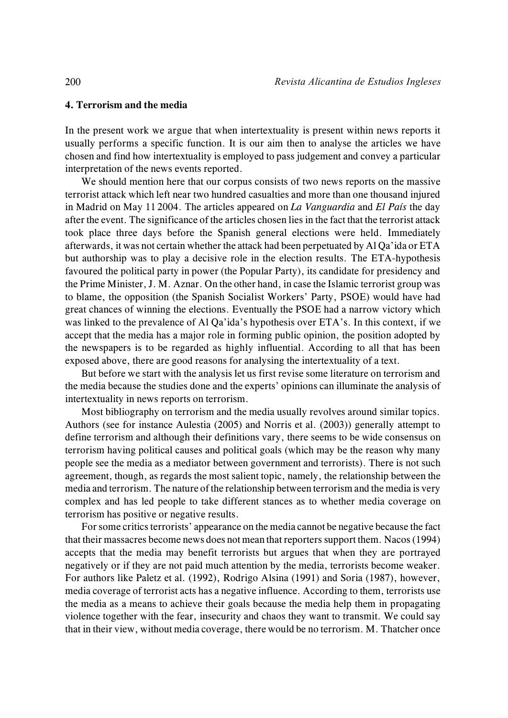## **4. Terrorism and the media**

In the present work we argue that when intertextuality is present within news reports it usually performs a specific function. It is our aim then to analyse the articles we have chosen and find how intertextuality is employed to pass judgement and convey a particular interpretation of the news events reported.

We should mention here that our corpus consists of two news reports on the massive terrorist attack which left near two hundred casualties and more than one thousand injured in Madrid on May 11 2004. The articles appeared on *La Vanguardia* and *El País* the day after the event. The significance of the articles chosen lies in the fact that the terrorist attack took place three days before the Spanish general elections were held. Immediately afterwards, it was not certain whether the attack had been perpetuated by Al Qa'ida or ETA but authorship was to play a decisive role in the election results. The ETA-hypothesis favoured the political party in power (the Popular Party), its candidate for presidency and the Prime Minister, J. M. Aznar. On the other hand, in case the Islamic terrorist group was to blame, the opposition (the Spanish Socialist Workers' Party, PSOE) would have had great chances of winning the elections. Eventually the PSOE had a narrow victory which was linked to the prevalence of Al Qa'ida's hypothesis over ETA's. In this context, if we accept that the media has a major role in forming public opinion, the position adopted by the newspapers is to be regarded as highly influential. According to all that has been exposed above, there are good reasons for analysing the intertextuality of a text.

But before we start with the analysis let us first revise some literature on terrorism and the media because the studies done and the experts' opinions can illuminate the analysis of intertextuality in news reports on terrorism.

Most bibliography on terrorism and the media usually revolves around similar topics. Authors (see for instance Aulestia (2005) and Norris et al. (2003)) generally attempt to define terrorism and although their definitions vary, there seems to be wide consensus on terrorism having political causes and political goals (which may be the reason why many people see the media as a mediator between government and terrorists). There is not such agreement, though, as regards the most salient topic, namely, the relationship between the media and terrorism. The nature of the relationship between terrorism and the media is very complex and has led people to take different stances as to whether media coverage on terrorism has positive or negative results.

For some critics terrorists' appearance on the media cannot be negative because the fact that their massacres become news does not mean that reporters support them. Nacos (1994) accepts that the media may benefit terrorists but argues that when they are portrayed negatively or if they are not paid much attention by the media, terrorists become weaker. For authors like Paletz et al. (1992), Rodrigo Alsina (1991) and Soria (1987), however, media coverage of terrorist acts has a negative influence. According to them, terrorists use the media as a means to achieve their goals because the media help them in propagating violence together with the fear, insecurity and chaos they want to transmit. We could say that in their view, without media coverage, there would be no terrorism. M. Thatcher once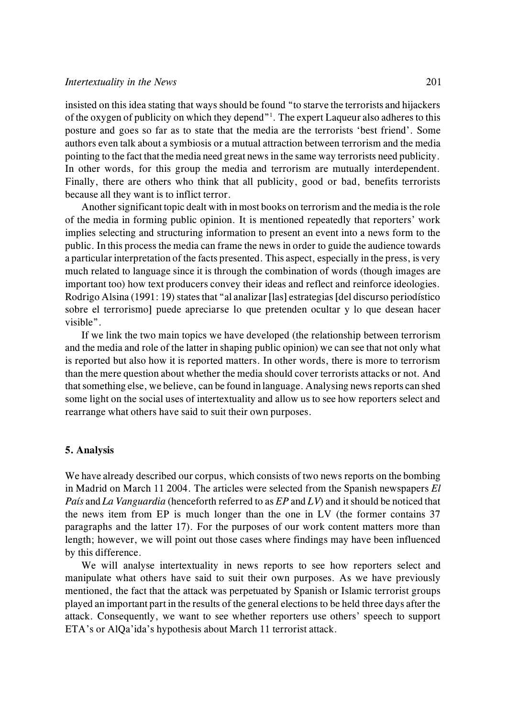insisted on this idea stating that ways should be found "to starve the terrorists and hijackers of the oxygen of publicity on which they depend<sup> $n<sup>1</sup>$ </sup>. The expert Laqueur also adheres to this posture and goes so far as to state that the media are the terrorists 'best friend'. Some authors even talk about a symbiosis or a mutual attraction between terrorism and the media pointing to the fact that the media need great news in the same way terrorists need publicity. In other words, for this group the media and terrorism are mutually interdependent. Finally, there are others who think that all publicity, good or bad, benefits terrorists because all they want is to inflict terror.

Another significant topic dealt with in most books on terrorism and the media is the role of the media in forming public opinion. It is mentioned repeatedly that reporters' work implies selecting and structuring information to present an event into a news form to the public. In this process the media can frame the news in order to guide the audience towards a particular interpretation of the facts presented. This aspect, especially in the press, is very much related to language since it is through the combination of words (though images are important too) how text producers convey their ideas and reflect and reinforce ideologies. Rodrigo Alsina (1991: 19) states that "al analizar [las] estrategias [del discurso periodístico sobre el terrorismo] puede apreciarse lo que pretenden ocultar y lo que desean hacer visible".

If we link the two main topics we have developed (the relationship between terrorism and the media and role of the latter in shaping public opinion) we can see that not only what is reported but also how it is reported matters. In other words, there is more to terrorism than the mere question about whether the media should cover terrorists attacks or not. And that something else, we believe, can be found in language. Analysing news reports can shed some light on the social uses of intertextuality and allow us to see how reporters select and rearrange what others have said to suit their own purposes.

## **5. Analysis**

We have already described our corpus, which consists of two news reports on the bombing in Madrid on March 11 2004. The articles were selected from the Spanish newspapers *El País* and *La Vanguardia* (henceforth referred to as *EP* and *LV*) and it should be noticed that the news item from EP is much longer than the one in LV (the former contains 37 paragraphs and the latter 17). For the purposes of our work content matters more than length; however, we will point out those cases where findings may have been influenced by this difference.

We will analyse intertextuality in news reports to see how reporters select and manipulate what others have said to suit their own purposes. As we have previously mentioned, the fact that the attack was perpetuated by Spanish or Islamic terrorist groups played an important part in the results of the general elections to be held three days after the attack. Consequently, we want to see whether reporters use others' speech to support ETA's or AlQa'ida's hypothesis about March 11 terrorist attack.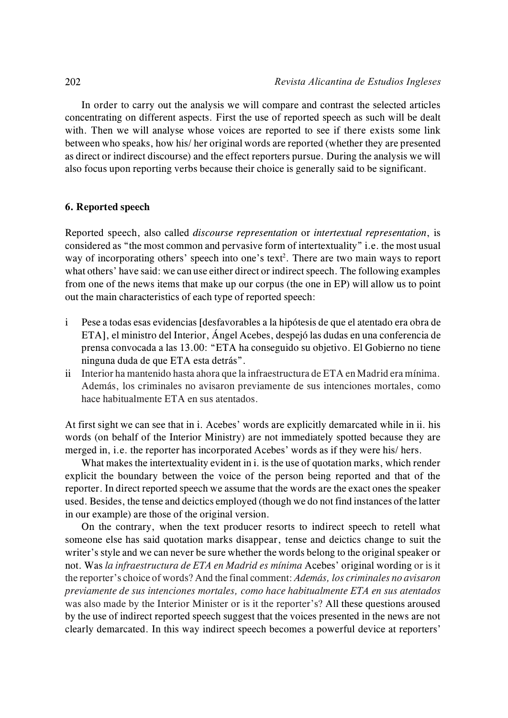In order to carry out the analysis we will compare and contrast the selected articles concentrating on different aspects. First the use of reported speech as such will be dealt with. Then we will analyse whose voices are reported to see if there exists some link between who speaks, how his/ her original words are reported (whether they are presented as direct or indirect discourse) and the effect reporters pursue. During the analysis we will also focus upon reporting verbs because their choice is generally said to be significant.

# **6. Reported speech**

Reported speech, also called *discourse representation* or *intertextual representation*, is considered as "the most common and pervasive form of intertextuality" i.e. the most usual way of incorporating others' speech into one's text<sup>2</sup>. There are two main ways to report what others' have said: we can use either direct or indirect speech. The following examples from one of the news items that make up our corpus (the one in EP) will allow us to point out the main characteristics of each type of reported speech:

- i Pese a todas esas evidencias [desfavorables a la hipótesis de que el atentado era obra de ETA], el ministro del Interior, Ángel Acebes, despejó las dudas en una conferencia de prensa convocada a las 13.00: "ETA ha conseguido su objetivo. El Gobierno no tiene ninguna duda de que ETA esta detrás".
- ii Interior ha mantenido hasta ahora que la infraestructura de ETA en Madrid era mínima. Además, los criminales no avisaron previamente de sus intenciones mortales, como hace habitualmente ETA en sus atentados.

At first sight we can see that in i. Acebes' words are explicitly demarcated while in ii. his words (on behalf of the Interior Ministry) are not immediately spotted because they are merged in, i.e. the reporter has incorporated Acebes' words as if they were his/ hers.

What makes the intertextuality evident in i. is the use of quotation marks, which render explicit the boundary between the voice of the person being reported and that of the reporter. In direct reported speech we assume that the words are the exact ones the speaker used. Besides, the tense and deictics employed (though we do not find instances of the latter in our example) are those of the original version.

On the contrary, when the text producer resorts to indirect speech to retell what someone else has said quotation marks disappear, tense and deictics change to suit the writer's style and we can never be sure whether the words belong to the original speaker or not. Was *la infraestructura de ETA en Madrid es mínima* Acebes' original wording or is it the reporter's choice of words? And the final comment: *Además, los criminales no avisaron previamente de sus intenciones mortales, como hace habitualmente ETA en sus atentados* was also made by the Interior Minister or is it the reporter's? All these questions aroused by the use of indirect reported speech suggest that the voices presented in the news are not clearly demarcated. In this way indirect speech becomes a powerful device at reporters'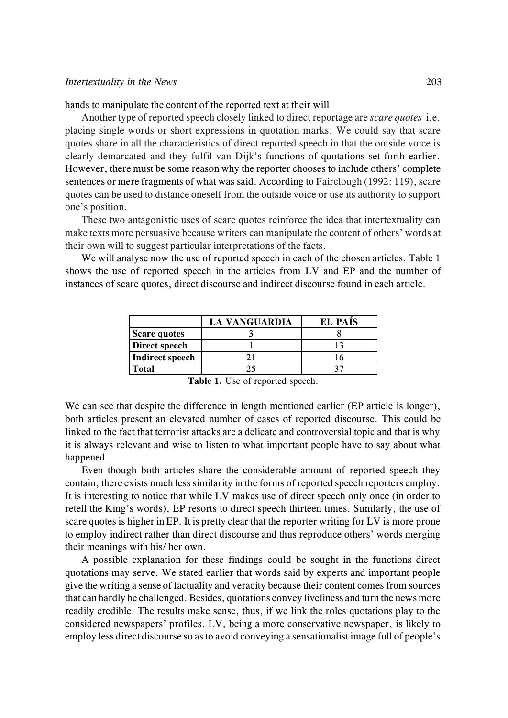hands to manipulate the content of the reported text at their will.

Another type of reported speech closely linked to direct reportage are *scare quotes* i.e. placing single words or short expressions in quotation marks. We could say that scare quotes share in all the characteristics of direct reported speech in that the outside voice is clearly demarcated and they fulfil van Dijk's functions of quotations set forth earlier. However, there must be some reason why the reporter chooses to include others' complete sentences or mere fragments of what was said. According to Fairclough (1992: 119), scare quotes can be used to distance oneself from the outside voice or use its authority to support one's position.

These two antagonistic uses of scare quotes reinforce the idea that intertextuality can make texts more persuasive because writers can manipulate the content of others' words at their own will to suggest particular interpretations of the facts.

We will analyse now the use of reported speech in each of the chosen articles. Table 1 shows the use of reported speech in the articles from LV and EP and the number of instances of scare quotes, direct discourse and indirect discourse found in each article.

|                     | <b>LA VANGUARDIA</b> | <b>EL PAIS</b> |
|---------------------|----------------------|----------------|
| <b>Scare quotes</b> |                      |                |
| Direct speech       |                      |                |
| Indirect speech     |                      |                |
| <b>Total</b>        |                      |                |

|  |  |  |  |  | Table 1. Use of reported speech. |  |
|--|--|--|--|--|----------------------------------|--|
|--|--|--|--|--|----------------------------------|--|

We can see that despite the difference in length mentioned earlier (EP article is longer), both articles present an elevated number of cases of reported discourse. This could be linked to the fact that terrorist attacks are a delicate and controversial topic and that is why it is always relevant and wise to listen to what important people have to say about what happened.

Even though both articles share the considerable amount of reported speech they contain, there exists much less similarity in the forms of reported speech reporters employ. It is interesting to notice that while LV makes use of direct speech only once (in order to retell the King's words), EP resorts to direct speech thirteen times. Similarly, the use of scare quotes is higher in EP*.* It is pretty clear that the reporter writing for LV is more prone to employ indirect rather than direct discourse and thus reproduce others' words merging their meanings with his/ her own.

A possible explanation for these findings could be sought in the functions direct quotations may serve. We stated earlier that words said by experts and important people give the writing a sense of factuality and veracity because their content comes from sources that can hardly be challenged. Besides, quotations convey liveliness and turn the news more readily credible. The results make sense, thus, if we link the roles quotations play to the considered newspapers' profiles. LV, being a more conservative newspaper, is likely to employ less direct discourse so as to avoid conveying a sensationalist image full of people's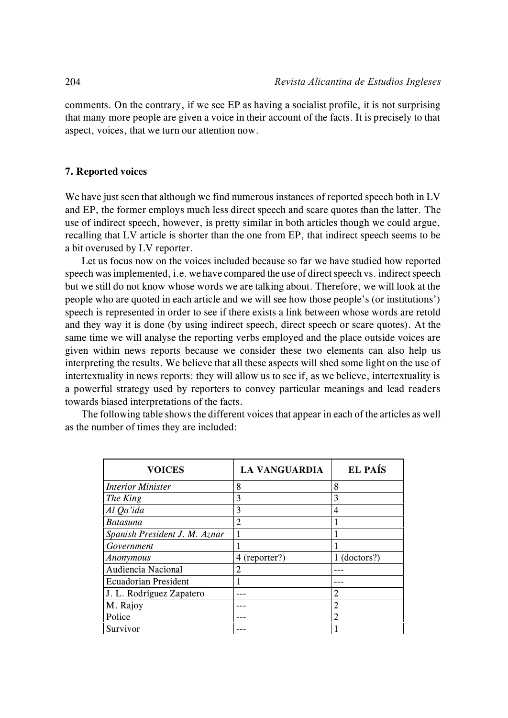comments. On the contrary, if we see EP as having a socialist profile, it is not surprising that many more people are given a voice in their account of the facts. It is precisely to that aspect, voices, that we turn our attention now.

### **7. Reported voices**

We have just seen that although we find numerous instances of reported speech both in LV and EP, the former employs much less direct speech and scare quotes than the latter. The use of indirect speech, however, is pretty similar in both articles though we could argue, recalling that LV article is shorter than the one from EP, that indirect speech seems to be a bit overused by LV reporter.

Let us focus now on the voices included because so far we have studied how reported speech was implemented, i.e. we have compared the use of direct speech vs. indirect speech but we still do not know whose words we are talking about. Therefore, we will look at the people who are quoted in each article and we will see how those people's (or institutions') speech is represented in order to see if there exists a link between whose words are retold and they way it is done (by using indirect speech, direct speech or scare quotes). At the same time we will analyse the reporting verbs employed and the place outside voices are given within news reports because we consider these two elements can also help us interpreting the results. We believe that all these aspects will shed some light on the use of intertextuality in news reports: they will allow us to see if, as we believe, intertextuality is a powerful strategy used by reporters to convey particular meanings and lead readers towards biased interpretations of the facts.

The following table shows the different voices that appear in each of the articles as well as the number of times they are included:

| <b>VOICES</b>                 | <b>LA VANGUARDIA</b> | EL PAÍS        |
|-------------------------------|----------------------|----------------|
| <b>Interior Minister</b>      | 8                    | 8              |
| The King                      | 3                    | 3              |
| Al Qa'ida                     | 3                    | 4              |
| <b>Batasuna</b>               | 2                    | 1              |
| Spanish President J. M. Aznar |                      | 1              |
| Government                    |                      |                |
| Anonymous                     | 4 (reporter?)        | $1$ (doctors?) |
| Audiencia Nacional            | 2                    |                |
| <b>Ecuadorian President</b>   |                      |                |
| J. L. Rodríguez Zapatero      |                      | 2              |
| M. Rajoy                      |                      | $\overline{2}$ |
| Police                        |                      | 2              |
| Survivor                      |                      |                |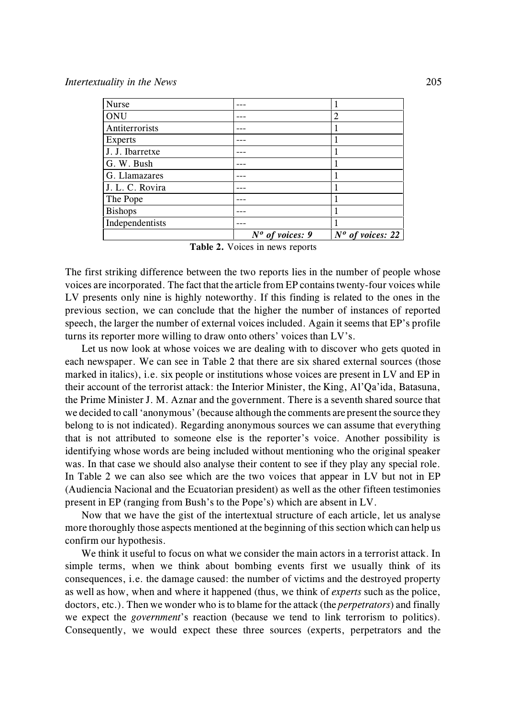| <b>Nurse</b>    |                   |                    |
|-----------------|-------------------|--------------------|
| <b>ONU</b>      |                   | 2                  |
| Antiterrorists  |                   |                    |
| Experts         |                   |                    |
| J. J. Ibarretxe |                   |                    |
| G. W. Bush      |                   |                    |
| G. Llamazares   |                   |                    |
| J. L. C. Rovira |                   |                    |
| The Pope        |                   |                    |
| Bishops         |                   |                    |
| Independentists |                   |                    |
|                 | $No$ of voices: 9 | $No$ of voices: 22 |

**Table 2.** Voices in news reports

The first striking difference between the two reports lies in the number of people whose voices are incorporated. The fact that the article from EP contains twenty-four voices while LV presents only nine is highly noteworthy. If this finding is related to the ones in the previous section, we can conclude that the higher the number of instances of reported speech, the larger the number of external voices included. Again it seems that EP's profile turns its reporter more willing to draw onto others' voices than LV's.

Let us now look at whose voices we are dealing with to discover who gets quoted in each newspaper. We can see in Table 2 that there are six shared external sources (those marked in italics), i.e. six people or institutions whose voices are present in LV and EP in their account of the terrorist attack: the Interior Minister, the King, Al'Qa'ida, Batasuna, the Prime Minister J. M. Aznar and the government. There is a seventh shared source that we decided to call 'anonymous' (because although the comments are present the source they belong to is not indicated). Regarding anonymous sources we can assume that everything that is not attributed to someone else is the reporter's voice. Another possibility is identifying whose words are being included without mentioning who the original speaker was. In that case we should also analyse their content to see if they play any special role. In Table 2 we can also see which are the two voices that appear in LV but not in EP (Audiencia Nacional and the Ecuatorian president) as well as the other fifteen testimonies present in EP (ranging from Bush's to the Pope's) which are absent in LV.

Now that we have the gist of the intertextual structure of each article, let us analyse more thoroughly those aspects mentioned at the beginning of this section which can help us confirm our hypothesis.

We think it useful to focus on what we consider the main actors in a terrorist attack. In simple terms, when we think about bombing events first we usually think of its consequences, i.e. the damage caused: the number of victims and the destroyed property as well as how, when and where it happened (thus, we think of *experts* such as the police, doctors, etc.). Then we wonder who is to blame for the attack (the *perpetrators*) and finally we expect the *government*'s reaction (because we tend to link terrorism to politics). Consequently, we would expect these three sources (experts, perpetrators and the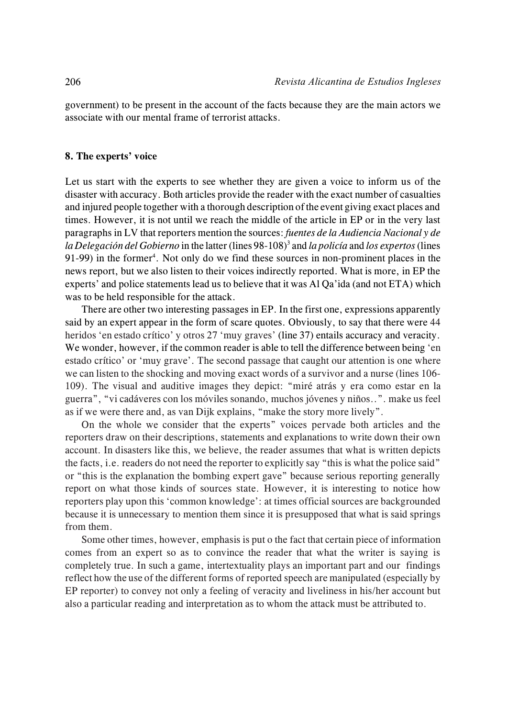government) to be present in the account of the facts because they are the main actors we associate with our mental frame of terrorist attacks.

## **8. The experts' voice**

Let us start with the experts to see whether they are given a voice to inform us of the disaster with accuracy. Both articles provide the reader with the exact number of casualties and injured people together with a thorough description of the event giving exact places and times. However, it is not until we reach the middle of the article in EP or in the very last paragraphs in LV that reporters mention the sources: *fuentes de la Audiencia Nacional y de la Delegación del Gobierno* in the latter (lines 98-108)<sup>3</sup> and *la policía* and *los expertos* (lines 91-99) in the former<sup>4</sup>. Not only do we find these sources in non-prominent places in the news report, but we also listen to their voices indirectly reported. What is more, in EP the experts' and police statements lead us to believe that it was Al Qa'ida (and not ETA) which was to be held responsible for the attack.

There are other two interesting passages in EP. In the first one, expressions apparently said by an expert appear in the form of scare quotes. Obviously, to say that there were 44 heridos 'en estado crítico' y otros 27 'muy graves' (line 37) entails accuracy and veracity. We wonder, however, if the common reader is able to tell the difference between being 'en estado crítico' or 'muy grave'. The second passage that caught our attention is one where we can listen to the shocking and moving exact words of a survivor and a nurse (lines 106- 109). The visual and auditive images they depict: "miré atrás y era como estar en la guerra", "vi cadáveres con los móviles sonando, muchos jóvenes y niños..". make us feel as if we were there and, as van Dijk explains, "make the story more lively".

On the whole we consider that the experts" voices pervade both articles and the reporters draw on their descriptions, statements and explanations to write down their own account. In disasters like this, we believe, the reader assumes that what is written depicts the facts, i.e. readers do not need the reporter to explicitly say "this is what the police said" or "this is the explanation the bombing expert gave" because serious reporting generally report on what those kinds of sources state. However, it is interesting to notice how reporters play upon this 'common knowledge': at times official sources are backgrounded because it is unnecessary to mention them since it is presupposed that what is said springs from them.

Some other times, however, emphasis is put o the fact that certain piece of information comes from an expert so as to convince the reader that what the writer is saying is completely true. In such a game, intertextuality plays an important part and our findings reflect how the use of the different forms of reported speech are manipulated (especially by EP reporter) to convey not only a feeling of veracity and liveliness in his/her account but also a particular reading and interpretation as to whom the attack must be attributed to.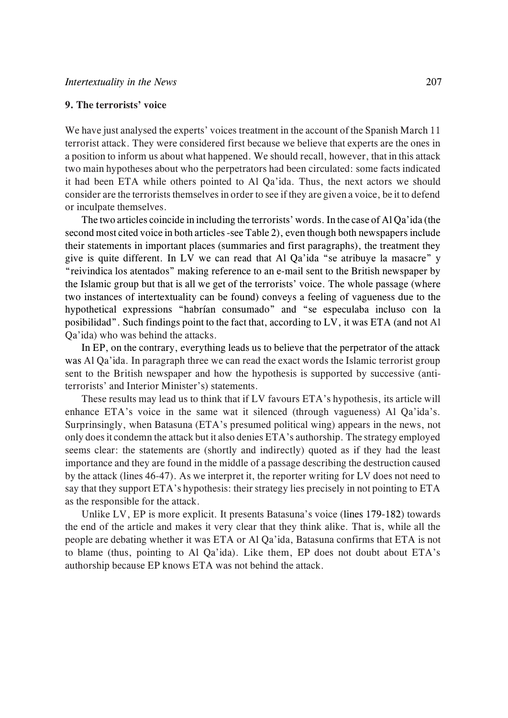## **9. The terrorists' voice**

We have just analysed the experts' voices treatment in the account of the Spanish March 11 terrorist attack. They were considered first because we believe that experts are the ones in a position to inform us about what happened. We should recall, however, that in this attack two main hypotheses about who the perpetrators had been circulated: some facts indicated it had been ETA while others pointed to Al Qa'ida. Thus, the next actors we should consider are the terrorists themselves in order to see if they are given a voice, be it to defend or inculpate themselves.

The two articles coincide in including the terrorists' words. In the case of Al Qa'ida (the second most cited voice in both articles -see Table 2), even though both newspapers include their statements in important places (summaries and first paragraphs), the treatment they give is quite different. In LV we can read that Al Qa'ida "se atribuye la masacre" y "reivindica los atentados" making reference to an e-mail sent to the British newspaper by the Islamic group but that is all we get of the terrorists' voice. The whole passage (where two instances of intertextuality can be found) conveys a feeling of vagueness due to the hypothetical expressions "habrían consumado" and "se especulaba incluso con la posibilidad". Such findings point to the fact that, according to LV, it was ETA (and not Al Qa'ida) who was behind the attacks.

In EP, on the contrary, everything leads us to believe that the perpetrator of the attack was Al Qa'ida. In paragraph three we can read the exact words the Islamic terrorist group sent to the British newspaper and how the hypothesis is supported by successive (antiterrorists' and Interior Minister's) statements.

These results may lead us to think that if LV favours ETA's hypothesis, its article will enhance ETA's voice in the same wat it silenced (through vagueness) Al Qa'ida's. Surprinsingly, when Batasuna (ETA's presumed political wing) appears in the news, not only does it condemn the attack but it also denies ETA's authorship. The strategy employed seems clear: the statements are (shortly and indirectly) quoted as if they had the least importance and they are found in the middle of a passage describing the destruction caused by the attack (lines 46-47). As we interpret it, the reporter writing for LV does not need to say that they support ETA's hypothesis: their strategy lies precisely in not pointing to ETA as the responsible for the attack.

Unlike LV, EP is more explicit. It presents Batasuna's voice (lines 179-182) towards the end of the article and makes it very clear that they think alike. That is, while all the people are debating whether it was ETA or Al Qa'ida, Batasuna confirms that ETA is not to blame (thus, pointing to Al Qa'ida). Like them, EP does not doubt about ETA's authorship because EP knows ETA was not behind the attack.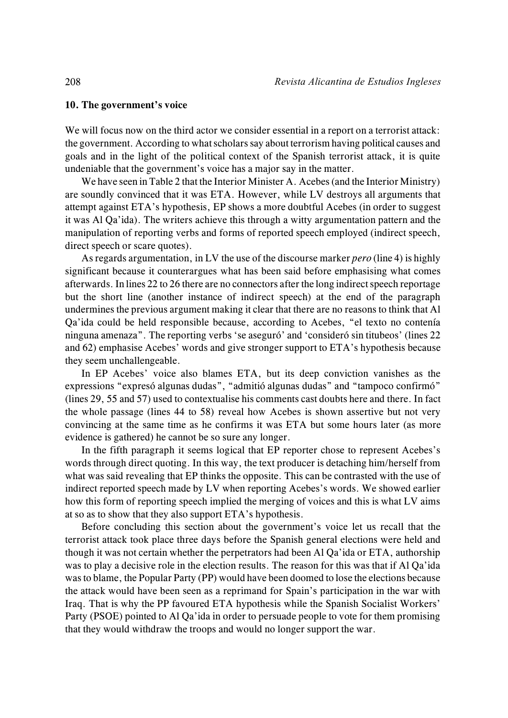#### **10. The government's voice**

We will focus now on the third actor we consider essential in a report on a terrorist attack: the government. According to what scholars say about terrorism having political causes and goals and in the light of the political context of the Spanish terrorist attack, it is quite undeniable that the government's voice has a major say in the matter.

We have seen in Table 2 that the Interior Minister A. Acebes (and the Interior Ministry) are soundly convinced that it was ETA. However, while LV destroys all arguments that attempt against ETA's hypothesis, EP shows a more doubtful Acebes (in order to suggest it was Al Qa'ida). The writers achieve this through a witty argumentation pattern and the manipulation of reporting verbs and forms of reported speech employed (indirect speech, direct speech or scare quotes).

As regards argumentation, in LV the use of the discourse marker *pero* (line 4) is highly significant because it counterargues what has been said before emphasising what comes afterwards. In lines 22 to 26 there are no connectors after the long indirect speech reportage but the short line (another instance of indirect speech) at the end of the paragraph undermines the previous argument making it clear that there are no reasons to think that Al Qa'ida could be held responsible because, according to Acebes, "el texto no contenía ninguna amenaza". The reporting verbs 'se aseguró' and 'consideró sin titubeos' (lines 22 and 62) emphasise Acebes' words and give stronger support to ETA's hypothesis because they seem unchallengeable.

In EP Acebes' voice also blames ETA, but its deep conviction vanishes as the expressions "expresó algunas dudas", "admitió algunas dudas" and "tampoco confirmó" (lines 29, 55 and 57) used to contextualise his comments cast doubts here and there. In fact the whole passage (lines 44 to 58) reveal how Acebes is shown assertive but not very convincing at the same time as he confirms it was ETA but some hours later (as more evidence is gathered) he cannot be so sure any longer.

In the fifth paragraph it seems logical that EP reporter chose to represent Acebes's words through direct quoting. In this way, the text producer is detaching him/herself from what was said revealing that EP thinks the opposite. This can be contrasted with the use of indirect reported speech made by LV when reporting Acebes's words. We showed earlier how this form of reporting speech implied the merging of voices and this is what LV aims at so as to show that they also support ETA's hypothesis.

Before concluding this section about the government's voice let us recall that the terrorist attack took place three days before the Spanish general elections were held and though it was not certain whether the perpetrators had been Al Qa'ida or ETA, authorship was to play a decisive role in the election results. The reason for this was that if Al Qa'ida wasto blame, the Popular Party (PP) would have been doomed to lose the elections because the attack would have been seen as a reprimand for Spain's participation in the war with Iraq. That is why the PP favoured ETA hypothesis while the Spanish Socialist Workers' Party (PSOE) pointed to Al Qa'ida in order to persuade people to vote for them promising that they would withdraw the troops and would no longer support the war.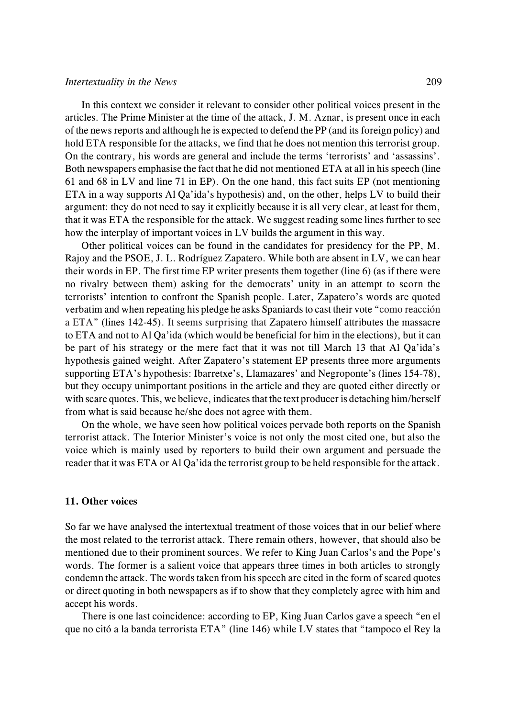In this context we consider it relevant to consider other political voices present in the articles. The Prime Minister at the time of the attack, J. M. Aznar, is present once in each of the news reports and although he is expected to defend the PP (and its foreign policy) and hold ETA responsible for the attacks, we find that he does not mention this terrorist group. On the contrary, his words are general and include the terms 'terrorists' and 'assassins'. Both newspapers emphasise the fact that he did not mentioned ETA at all in his speech (line 61 and 68 in LV and line 71 in EP). On the one hand, this fact suits EP (not mentioning ETA in a way supports Al Qa'ida's hypothesis) and, on the other, helps LV to build their argument: they do not need to say it explicitly because it is all very clear, at least for them, that it was ETA the responsible for the attack. We suggest reading some lines further to see how the interplay of important voices in LV builds the argument in this way.

Other political voices can be found in the candidates for presidency for the PP, M. Rajoy and the PSOE, J. L. Rodríguez Zapatero. While both are absent in LV, we can hear their words in EP. The first time EP writer presents them together (line 6) (as if there were no rivalry between them) asking for the democrats' unity in an attempt to scorn the terrorists' intention to confront the Spanish people. Later, Zapatero's words are quoted verbatim and when repeating his pledge he asks Spaniards to cast their vote "como reacción a ETA" (lines 142-45). It seems surprising that Zapatero himself attributes the massacre to ETA and not to Al Qa'ida (which would be beneficial for him in the elections), but it can be part of his strategy or the mere fact that it was not till March 13 that Al Qa'ida's hypothesis gained weight. After Zapatero's statement EP presents three more arguments supporting ETA's hypothesis: Ibarretxe's, Llamazares' and Negroponte's (lines 154-78), but they occupy unimportant positions in the article and they are quoted either directly or with scare quotes. This, we believe, indicates that the text producer is detaching him/herself from what is said because he/she does not agree with them.

On the whole, we have seen how political voices pervade both reports on the Spanish terrorist attack. The Interior Minister's voice is not only the most cited one, but also the voice which is mainly used by reporters to build their own argument and persuade the reader that it was ETA or Al Qa'ida the terrorist group to be held responsible for the attack.

# **11. Other voices**

So far we have analysed the intertextual treatment of those voices that in our belief where the most related to the terrorist attack. There remain others, however, that should also be mentioned due to their prominent sources. We refer to King Juan Carlos's and the Pope's words. The former is a salient voice that appears three times in both articles to strongly condemn the attack. The words taken from his speech are cited in the form of scared quotes or direct quoting in both newspapers as if to show that they completely agree with him and accept his words.

There is one last coincidence: according to EP, King Juan Carlos gave a speech "en el que no citó a la banda terrorista ETA" (line 146) while LV states that "tampoco el Rey la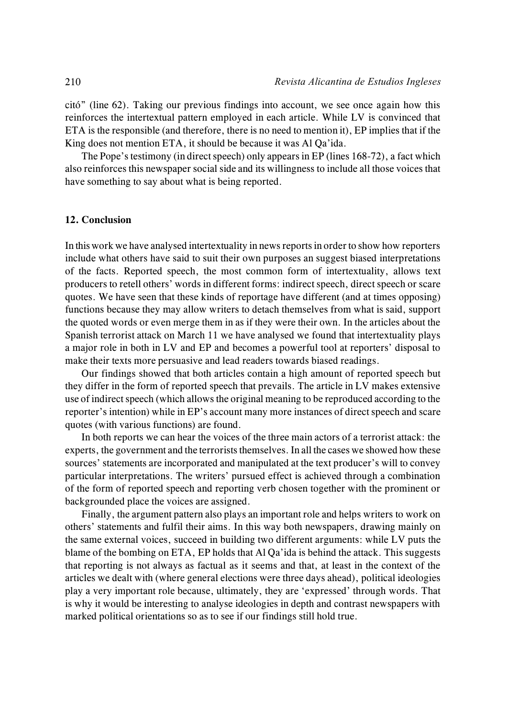citó" (line 62). Taking our previous findings into account, we see once again how this reinforces the intertextual pattern employed in each article. While LV is convinced that ETA is the responsible (and therefore, there is no need to mention it), EP implies that if the King does not mention ETA, it should be because it was Al Qa'ida.

The Pope's testimony (in direct speech) only appears in EP (lines 168-72), a fact which also reinforces this newspaper social side and its willingness to include all those voices that have something to say about what is being reported.

### **12. Conclusion**

In this work we have analysed intertextuality in news reports in order to show how reporters include what others have said to suit their own purposes an suggest biased interpretations of the facts. Reported speech, the most common form of intertextuality, allows text producers to retell others' words in different forms: indirect speech, direct speech or scare quotes. We have seen that these kinds of reportage have different (and at times opposing) functions because they may allow writers to detach themselves from what is said, support the quoted words or even merge them in as if they were their own. In the articles about the Spanish terrorist attack on March 11 we have analysed we found that intertextuality plays a major role in both in LV and EP and becomes a powerful tool at reporters' disposal to make their texts more persuasive and lead readers towards biased readings.

Our findings showed that both articles contain a high amount of reported speech but they differ in the form of reported speech that prevails. The article in LV makes extensive use of indirect speech (which allows the original meaning to be reproduced according to the reporter's intention) while in EP's account many more instances of direct speech and scare quotes (with various functions) are found.

In both reports we can hear the voices of the three main actors of a terrorist attack: the experts, the government and the terrorists themselves. In all the cases we showed how these sources' statements are incorporated and manipulated at the text producer's will to convey particular interpretations. The writers' pursued effect is achieved through a combination of the form of reported speech and reporting verb chosen together with the prominent or backgrounded place the voices are assigned.

Finally, the argument pattern also plays an important role and helps writers to work on others' statements and fulfil their aims. In this way both newspapers, drawing mainly on the same external voices, succeed in building two different arguments: while LV puts the blame of the bombing on ETA, EP holds that Al Qa'ida is behind the attack. This suggests that reporting is not always as factual as it seems and that, at least in the context of the articles we dealt with (where general elections were three days ahead), political ideologies play a very important role because, ultimately, they are 'expressed' through words. That is why it would be interesting to analyse ideologies in depth and contrast newspapers with marked political orientations so as to see if our findings still hold true.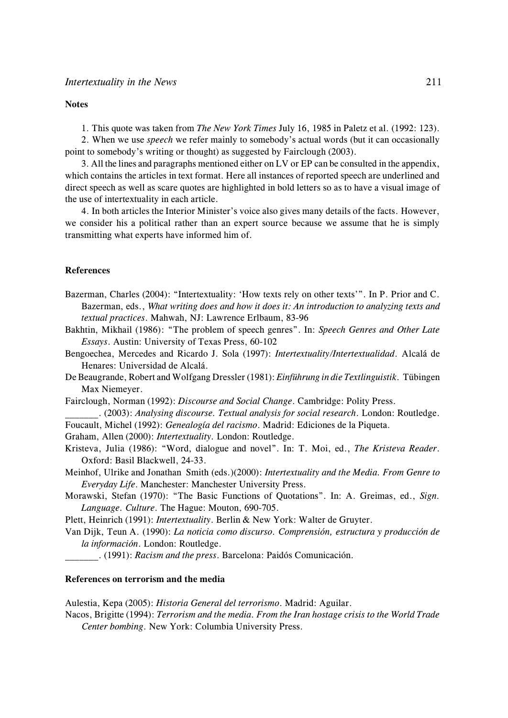#### **Notes**

1. This quote was taken from *The New York Times* July 16, 1985 in Paletz et al. (1992: 123).

2. When we use *speech* we refer mainly to somebody's actual words (but it can occasionally point to somebody's writing or thought) as suggested by Fairclough (2003).

3. All the lines and paragraphs mentioned either on LV or EP can be consulted in the appendix, which contains the articles in text format. Here all instances of reported speech are underlined and direct speech as well as scare quotes are highlighted in bold letters so as to have a visual image of the use of intertextuality in each article.

4. In both articles the Interior Minister's voice also gives many details of the facts. However, we consider his a political rather than an expert source because we assume that he is simply transmitting what experts have informed him of.

#### **References**

Bazerman, Charles (2004): "Intertextuality: 'How texts rely on other texts'". In P. Prior and C. Bazerman, eds., *What writing does and how it does it: An introduction to analyzing texts and textual practices*. Mahwah, NJ: Lawrence Erlbaum, 83-96

Bakhtin, Mikhail (1986): "The problem of speech genres". In: *Speech Genres and Other Late Essays*. Austin: University of Texas Press, 60-102

- Bengoechea, Mercedes and Ricardo J. Sola (1997): *Intertextuality/Intertextualidad*. Alcalá de Henares: Universidad de Alcalá.
- De Beaugrande, Robert and Wolfgang Dressler (1981): *Einführung in die Textlinguistik*. Tübingen Max Niemeyer.
- Fairclough, Norman (1992): *Discourse and Social Change*. Cambridge: Polity Press.

\_\_\_\_\_\_\_. (2003): *Analysing discourse. Textual analysis for social research*. London: Routledge.

- Foucault, Michel (1992): *Genealogía del racismo*. Madrid: Ediciones de la Piqueta.
- Graham, Allen (2000): *Intertextuality.* London: Routledge.
- Kristeva, Julia (1986): "Word, dialogue and novel". In: T. Moi, ed., *The Kristeva Reader*. Oxford: Basil Blackwell, 24-33.

Meinhof, Ulrike and Jonathan Smith (eds.)(2000): *Intertextuality and the Media. From Genre to Everyday Life*. Manchester: Manchester University Press.

Morawski, Stefan (1970): "The Basic Functions of Quotations". In: A. Greimas, ed., *Sign. Language. Culture*. The Hague: Mouton, 690-705.

Plett, Heinrich (1991): *Intertextuality*. Berlin & New York: Walter de Gruyter.

- Van Dijk, Teun A. (1990): *La noticia como discurso. Comprensión, estructura y producción de*
	- *la información*. London: Routledge.

\_\_\_\_\_\_\_. (1991): *Racism and the press*. Barcelona: Paidós Comunicación.

#### **References on terrorism and the media**

Aulestia, Kepa (2005): *Historia General del terrorismo*. Madrid: Aguilar.

Nacos, Brigitte (1994): *Terrorism and the media. From the Iran hostage crisis to the World Trade Center bombing*. New York: Columbia University Press.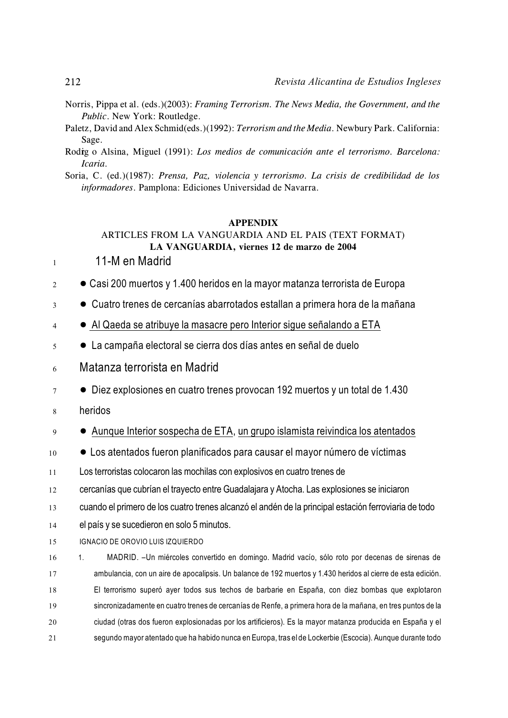- Norris, Pippa et al. (eds.)(2003): *Framing Terrorism. The News Media, the Government, and the Public*. New York: Routledge.
- Paletz, David and Alex Schmid(eds.)(1992): *Terrorism and the Media*. Newbury Park. California: Sage.
- Rodig o Alsina, Miguel (1991): Los medios de comunicación ante el terrorismo. Barcelona: *Icaria.*

Soria, C. (ed.)(1987): *Prensa, Paz, violencia y terrorismo. La crisis de credibilidad de los informadores*. Pamplona: Ediciones Universidad de Navarra.

#### **APPENDIX**

# ARTICLES FROM LA VANGUARDIA AND EL PAIS (TEXT FORMAT) **LA VANGUARDIA, viernes 12 de marzo de 2004**

- $11 11 M$  en Madrid
- $2 \cdot \cdot \cdot$  Casi 200 muertos y 1.400 heridos en la mayor matanza terrorista de Europa
- <sup>3</sup> ! Cuatro trenes de cercanías abarrotados estallan a primera hora de la mañana
- 4 . Al Qaeda se atribuye la masacre pero Interior sigue señalando a ETA
- $5 \bullet$  La campaña electoral se cierra dos días antes en señal de duelo
- <sup>6</sup> Matanza terrorista en Madrid
- $7 \bullet$  Diez explosiones en cuatro trenes provocan 192 muertos y un total de 1.430
- <sup>8</sup> heridos
- <sup>9</sup> ! Aunque Interior sospecha de ETA, un grupo islamista reivindica los atentados
- $10 \bullet$  Los atentados fueron planificados para causar el mayor número de víctimas

11 Los terroristas colocaron las mochilas con explosivos en cuatro trenes de

12 cercanías que cubrían el trayecto entre Guadalajara y Atocha. Las explosiones se iniciaron

- 13 cuando el primero de los cuatro trenes alcanzó el andén de la principal estación ferroviaria de todo
- 14 el país y se sucedieron en solo 5 minutos.

15 IGNACIO DE OROVIO LUIS IZQUIERDO

 1. MADRID. –Un miércoles convertido en domingo. Madrid vacío, sólo roto por decenas de sirenas de ambulancia, con un aire de apocalipsis. Un balance de 192 muertos y 1.430 heridos al cierre de esta edición. El terrorismo superó ayer todos sus techos de barbarie en España, con diez bombas que explotaron sincronizadamente en cuatro trenes de cercanías de Renfe, a primera hora de la mañana, en tres puntos de la ciudad (otras dos fueron explosionadas por los artificieros). Es la mayor matanza producida en España y el segundo mayor atentado que ha habido nunca en Europa, tras el de Lockerbie (Escocia). Aunque durante todo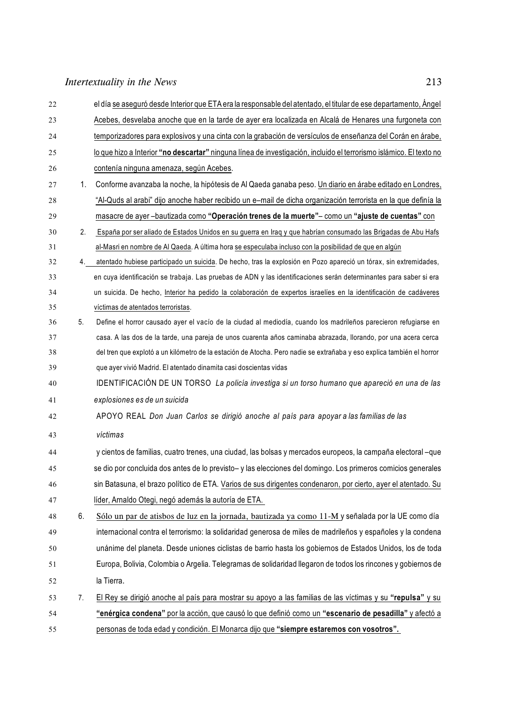| 22 |    | el día se aseguró desde Interior que ETA era la responsable del atentado, el titular de ese departamento, Ángel       |
|----|----|-----------------------------------------------------------------------------------------------------------------------|
| 23 |    | Acebes, desvelaba anoche que en la tarde de ayer era localizada en Alcalá de Henares una furgoneta con                |
| 24 |    | temporizadores para explosivos y una cinta con la grabación de versículos de enseñanza del Corán en árabe,            |
| 25 |    | lo que hizo a Interior "no descartar" ninguna línea de investigación, incluido el terrorismo islámico. El texto no    |
| 26 |    | contenía ninguna amenaza, según Acebes.                                                                               |
| 27 | 1. | Conforme avanzaba la noche, la hipótesis de Al Qaeda ganaba peso. Un diario en árabe editado en Londres,              |
| 28 |    | "Al-Quds al arabi" dijo anoche haber recibido un e-mail de dicha organización terrorista en la que definía la         |
| 29 |    | masacre de ayer-bautizada como "Operación trenes de la muerte"- como un "ajuste de cuentas" con                       |
| 30 | 2. | España por ser aliado de Estados Unidos en su guerra en Iraq y que habrían consumado las Brigadas de Abu Hafs         |
| 31 |    | al-Masri en nombre de Al Qaeda. A última hora se especulaba incluso con la posibilidad de que en algún                |
| 32 | 4. | atentado hubiese participado un suicida. De hecho, tras la explosión en Pozo apareció un tórax, sin extremidades,     |
| 33 |    | en cuya identificación se trabaja. Las pruebas de ADN y las identificaciones serán determinantes para saber si era    |
| 34 |    | un suicida. De hecho, Interior ha pedido la colaboración de expertos israelíes en la identificación de cadáveres      |
| 35 |    | víctimas de atentados terroristas.                                                                                    |
| 36 | 5. | Define el horror causado ayer el vacío de la ciudad al mediodía, cuando los madrileños parecieron refugiarse en       |
| 37 |    | casa. A las dos de la tarde, una pareja de unos cuarenta años caminaba abrazada, llorando, por una acera cerca        |
| 38 |    | del tren que explotó a un kilómetro de la estación de Atocha. Pero nadie se extrañaba y eso explica también el horror |
| 39 |    | que ayer vivió Madrid. El atentado dinamita casi doscientas vidas                                                     |
| 40 |    | IDENTIFICACIÓN DE UN TORSO La policía investiga si un torso humano que apareció en una de las                         |
| 41 |    | explosiones es de un suicida                                                                                          |
| 42 |    | APOYO REAL Don Juan Carlos se dirigió anoche al país para apoyar a las familias de las                                |
| 43 |    | víctimas                                                                                                              |
| 44 |    | y cientos de familias, cuatro trenes, una ciudad, las bolsas y mercados europeos, la campaña electoral -que           |
| 45 |    | se dio por concluida dos antes de lo previsto- y las elecciones del domingo. Los primeros comicios generales          |
| 46 |    | sin Batasuna, el brazo político de ETA. Varios de sus dirigentes condenaron, por cierto, ayer el atentado. Su         |
| 47 |    | líder, Arnaldo Otegi, negó además la autoría de ETA.                                                                  |
| 48 | 6. | Sólo un par de atisbos de luz en la jornada, bautizada ya como 11-M y señalada por la UE como día                     |
| 49 |    | internacional contra el terrorismo: la solidaridad generosa de miles de madrileños y españoles y la condena           |
| 50 |    | unánime del planeta. Desde uniones ciclistas de barrio hasta los gobiernos de Estados Unidos, los de toda             |
| 51 |    | Europa, Bolivia, Colombia o Argelia. Telegramas de solidaridad llegaron de todos los rincones y gobiernos de          |
| 52 |    | la Tierra.                                                                                                            |
| 53 | 7. | El Rey se dirigió anoche al país para mostrar su apoyo a las familias de las víctimas y su "repulsa" y su             |
| 54 |    | "enérgica condena" por la acción, que causó lo que definió como un "escenario de pesadilla" y afectó a                |
| 55 |    | personas de toda edad y condición. El Monarca dijo que "siempre estaremos con vosotros".                              |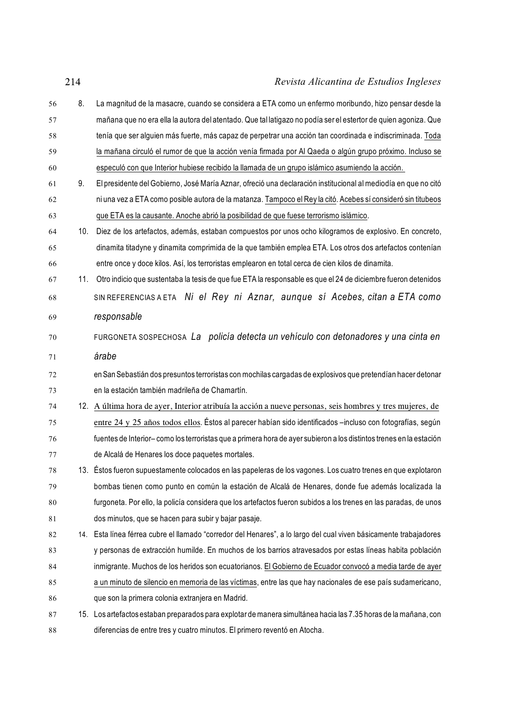8. La magnitud de la masacre, cuando se considera a ETA como un enfermo moribundo, hizo pensar desde la mañana que no era ella la autora del atentado. Que tal latigazo no podía ser el estertor de quien agoniza. Que tenía que ser alguien más fuerte, más capaz de perpetrar una acción tan coordinada e indiscriminada. Toda la mañana circuló el rumor de que la acción venía firmada por Al Qaeda o algún grupo próximo. Incluso se especuló con que Interior hubiese recibido la llamada de un grupo islámico asumiendo la acción. 9. El presidente delGobierno, José María Aznar, ofreció una declaración institucional al mediodía en que no citó ni una vez a ETA como posible autora de la matanza. Tampoco el Rey la citó. Acebes sí consideró sin titubeos que ETA es la causante. Anoche abrió la posibilidad de que fuese terrorismo islámico. 10. Diez de los artefactos, además, estaban compuestos por unos ocho kilogramos de explosivo. En concreto, dinamita titadyne y dinamita comprimida de la que también emplea ETA. Los otros dos artefactos contenían entre once y doce kilos. Así, los terroristas emplearon en total cerca de cien kilos de dinamita. 11. Otro indicio que sustentaba la tesis de que fue ETA la responsable es que el 24 de diciembre fueron detenidos SIN REFERENCIAS A ETA *Ni el Rey ni Aznar, aunque sí Acebes, citan a ETA como responsable* FURGONETA SOSPECHOSA *La policía detecta un vehículo con detonadores y una cinta en árabe* en San Sebastián dos presuntos terroristas con mochilas cargadas de explosivos que pretendían hacer detonar en la estación también madrileña de Chamartín. 12. A última hora de ayer, Interior atribuía la acción a nueve personas, seis hombres y tres mujeres, de entre 24 y 25 años todos ellos. Éstos al parecer habían sido identificados –incluso con fotografías, según fuentes de Interior– como los terroristas que a primera hora de ayer subieron a los distintos trenes en la estación de Alcalá de Henares los doce paquetes mortales. 13. Éstos fueron supuestamente colocados en las papeleras de los vagones. Los cuatro trenes en que explotaron bombas tienen como punto en común la estación de Alcalá de Henares, donde fue además localizada la furgoneta. Por ello, la policía considera que los artefactos fueron subidos a los trenes en las paradas, de unos dos minutos, que se hacen para subir y bajar pasaje. 14. Esta línea férrea cubre el llamado "corredor del Henares", a lo largo del cual viven básicamente trabajadores y personas de extracción humilde. En muchos de los barrios atravesados por estas líneas habita población inmigrante. Muchos de los heridos son ecuatorianos. El Gobierno de Ecuador convocó a media tarde de ayer a un minuto de silencio en memoria de las víctimas, entre las que hay nacionales de ese país sudamericano, que son la primera colonia extranjera en Madrid. 15. Los artefactos estaban preparados para explotar de manera simultánea hacia las 7.35 horas de la mañana, con diferencias de entre tres y cuatro minutos. El primero reventó en Atocha.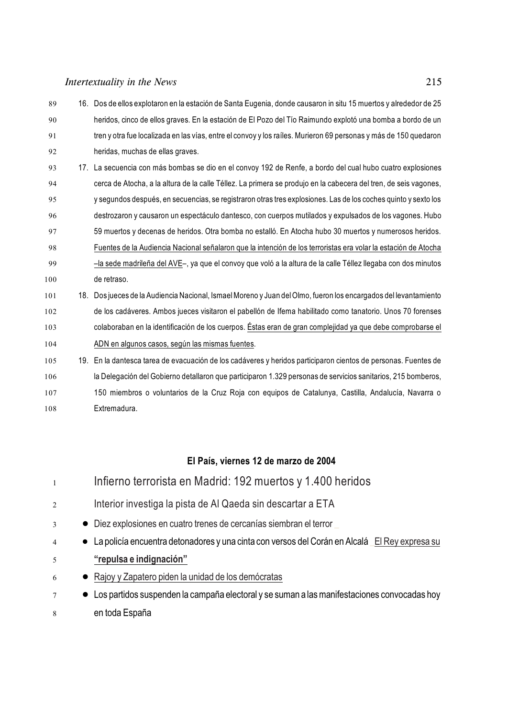16. Dos de ellos explotaron en la estación de Santa Eugenia, donde causaron in situ 15 muertos y alrededor de 25 heridos, cinco de ellos graves. En la estación de El Pozo del Tío Raimundo explotó una bomba a bordo de un tren y otra fue localizada en las vías, entre el convoy y los raíles. Murieron 69 personas y más de 150 quedaron heridas, muchas de ellas graves. 17. La secuencia con más bombas se dio en el convoy 192 de Renfe, a bordo del cual hubo cuatro explosiones cerca de Atocha, a la altura de la calle Téllez. La primera se produjo en la cabecera del tren, de seis vagones, y segundos después, en secuencias, se registraron otras tres explosiones. Las de los coches quinto y sexto los destrozaron y causaron un espectáculo dantesco, con cuerpos mutilados y expulsados de los vagones. Hubo 59 muertos y decenas de heridos. Otra bomba no estalló. En Atocha hubo 30 muertos y numerosos heridos. Fuentes de la Audiencia Nacional señalaron que la intención de los terroristas era volar la estación de Atocha –la sede madrileña del AVE–, ya que el convoy que voló a la altura de la calle Téllez llegaba con dos minutos de retraso. 18. Dos jueces de la Audiencia Nacional, IsmaelMoreno y Juan delOlmo, fueron los encargados del levantamiento de los cadáveres. Ambos jueces visitaron el pabellón de Ifema habilitado como tanatorio. Unos 70 forenses colaboraban en la identificación de los cuerpos. Éstas eran de gran complejidad ya que debe comprobarse el ADN en algunos casos, según las mismas fuentes. 19. En la dantesca tarea de evacuación de los cadáveres y heridos participaron cientos de personas. Fuentes de la Delegación del Gobierno detallaron que participaron 1.329 personas de servicios sanitarios, 215 bomberos, 150 miembros o voluntarios de la Cruz Roja con equipos de Catalunya, Castilla, Andalucía, Navarra o Extremadura.

# **El País, viernes 12 de marzo de 2004**

| $\overline{1}$ | Infierno terrorista en Madrid: 192 muertos y 1.400 heridos                                      |
|----------------|-------------------------------------------------------------------------------------------------|
| 2              | Interior investiga la pista de Al Qaeda sin descartar a ETA                                     |
| 3              | • Diez explosiones en cuatro trenes de cercanías siembran el terror                             |
| $\overline{4}$ | • La policía encuentra detonadores y una cinta con versos del Corán en Alcalá El Rey expresa su |
| 5              | "repulsa e indignación"                                                                         |
| 6              | • Rajoy y Zapatero piden la unidad de los demócratas                                            |
| 7              | • Los partidos suspenden la campaña electoral y se suman a las manifestaciones convocadas hoy   |
| 8              | en toda España                                                                                  |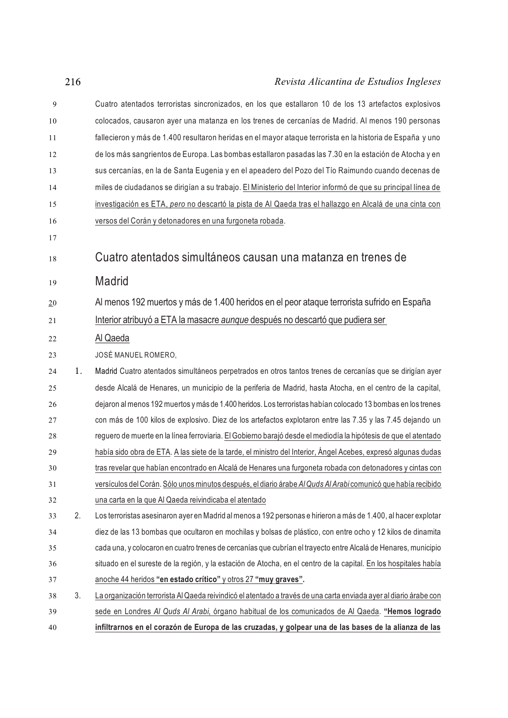| 9  |    | Cuatro atentados terroristas sincronizados, en los que estallaron 10 de los 13 artefactos explosivos              |
|----|----|-------------------------------------------------------------------------------------------------------------------|
| 10 |    | colocados, causaron ayer una matanza en los trenes de cercanías de Madrid. Al menos 190 personas                  |
| 11 |    | fallecieron y más de 1.400 resultaron heridas en el mayor ataque terrorista en la historia de España y uno        |
| 12 |    | de los más sangrientos de Europa. Las bombas estallaron pasadas las 7.30 en la estación de Atocha y en            |
| 13 |    | sus cercanías, en la de Santa Eugenia y en el apeadero del Pozo del Tío Raimundo cuando decenas de                |
| 14 |    | miles de ciudadanos se dirigían a su trabajo. El Ministerio del Interior informó de que su principal línea de     |
| 15 |    | investigación es ETA, pero no descartó la pista de Al Qaeda tras el hallazgo en Alcalá de una cinta con           |
| 16 |    | versos del Corán y detonadores en una furgoneta robada.                                                           |
| 17 |    |                                                                                                                   |
| 18 |    | Cuatro atentados simultáneos causan una matanza en trenes de                                                      |
| 19 |    | Madrid                                                                                                            |
| 20 |    | Al menos 192 muertos y más de 1.400 heridos en el peor ataque terrorista sufrido en España                        |
| 21 |    | Interior atribuyó a ETA la masacre <i>aunque</i> después no descartó que pudiera ser                              |
| 22 |    | Al Qaeda                                                                                                          |
| 23 |    | JOSÉ MANUEL ROMERO,                                                                                               |
| 24 | 1. | Madrid Cuatro atentados simultáneos perpetrados en otros tantos trenes de cercanías que se dirigían ayer          |
| 25 |    | desde Alcalá de Henares, un municipio de la periferia de Madrid, hasta Atocha, en el centro de la capital,        |
| 26 |    | dejaron al menos 192 muertos y más de 1.400 heridos. Los terroristas habían colocado 13 bombas en los trenes      |
| 27 |    | con más de 100 kilos de explosivo. Diez de los artefactos explotaron entre las 7.35 y las 7.45 dejando un         |
| 28 |    | reguero de muerte en la línea ferroviaria. El Gobierno barajó desde el mediodía la hipótesis de que el atentado   |
| 29 |    | había sido obra de ETA. A las siete de la tarde, el ministro del Interior, Ángel Acebes, expresó algunas dudas    |
| 30 |    | tras revelar que habían encontrado en Alcalá de Henares una furgoneta robada con detonadores y cintas con         |
| 31 |    | versículos del Corán. Sólo unos minutos después, el diario árabe Al Quds Al Arabi comunicó que había recibido     |
| 32 |    | una carta en la que Al Qaeda reivindicaba el atentado                                                             |
| 33 | 2. | Los terroristas asesinaron ayer en Madrid al menos a 192 personas e hirieron a más de 1.400, al hacer explotar    |
| 34 |    | diez de las 13 bombas que ocultaron en mochilas y bolsas de plástico, con entre ocho y 12 kilos de dinamita       |
| 35 |    | cada una, y colocaron en cuatro trenes de cercanías que cubrían el trayecto entre Alcalá de Henares, municipio    |
| 36 |    | situado en el sureste de la región, y la estación de Atocha, en el centro de la capital. En los hospitales había  |
| 37 |    | anoche 44 heridos "en estado crítico" y otros 27 "muy graves".                                                    |
| 38 | 3. | La organización terrorista Al Qaeda reivindicó el atentado a través de una carta enviada ayer al diario árabe con |
| 39 |    | sede en Londres Al Quds Al Arabi, órgano habitual de los comunicados de Al Qaeda. "Hemos logrado                  |
| 40 |    | infiltrarnos en el corazón de Europa de las cruzadas, y golpear una de las bases de la alianza de las             |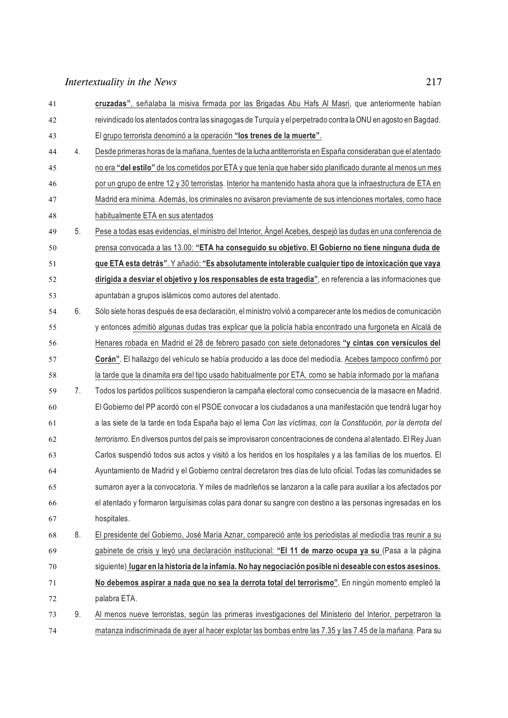**cruzadas"**, señalaba la misiva firmada por las Brigadas Abu Hafs Al Masri, que anteriormente habían reivindicado los atentados contra las sinagogas de Turquía y el perpetrado contra la ONU en agosto en Bagdad. El grupo terrorista denominó a la operación **"los trenes de la muerte"**. 4. Desde primeras horas de la mañana, fuentes de la lucha antiterrorista en España consideraban que el atentado no era **"del estilo"** de los cometidos por ETA y que tenía que haber sido planificado durante al menos un mes por un grupo de entre 12 y 30 terroristas. Interior ha mantenido hasta ahora que la infraestructura de ETA en Madrid era mínima. Además, los criminales no avisaron previamente de sus intenciones mortales, como hace .48 habitualmente ETA en sus atentados 5. Pese a todas esas evidencias, el ministro del Interior, Ángel Acebes, despejó las dudas en una conferencia de prensa convocada a las 13.00: **"ETA ha conseguido su objetivo. El Gobierno no tiene ninguna duda de que ETA esta detrás"**. Y añadió: **"Es absolutamente intolerable cualquier tipo de intoxicación que vaya dirigida a desviar el objetivo y los responsables de esta tragedia"**, en referencia a las informaciones que apuntaban a grupos islámicos como autores del atentado. 6. Sólo siete horas después de esa declaración, elministro volvió a comparecer ante los medios de comunicación y entonces admitió algunas dudas tras explicar que la policía había encontrado una furgoneta en Alcalá de Henares robada en Madrid el 28 de febrero pasado con siete detonadores **"y cintas con versículos del Corán"**. El hallazgo del vehículo se había producido a las doce del mediodía. Acebes tampoco confirmó por .58 la tarde que la dinamita era del tipo usado habitualmente por ETA, como se había informado por la mañana 7. Todos los partidos políticos suspendieron la campaña electoral como consecuencia de la masacre en Madrid. El Gobierno del PP acordó con el PSOE convocar a los ciudadanos a una manifestación que tendrá lugar hoy a las siete de la tarde en toda España bajo el lema *Con las víctimas, con la Constitución, por la derrota del terrorismo.* En diversos puntos del país se improvisaron concentraciones de condena al atentado. El Rey Juan Carlos suspendió todos sus actos y visitó a los heridos en los hospitales y a las familias de los muertos. El Ayuntamiento de Madrid y el Gobierno central decretaron tres días de luto oficial. Todas las comunidades se sumaron ayer a la convocatoria. Y miles de madrileños se lanzaron a la calle para auxiliar a los afectados por el atentado y formaron larguísimas colas para donar su sangre con destino a las personas ingresadas en los hospitales. 8. El presidente del Gobierno, José María Aznar, compareció ante los periodistas al mediodía tras reunir a su gabinete de crisis y leyó una declaración institucional: **"El 11 de marzo ocupa ya su** (Pasa a la página siguiente) **lugar en la historia de la infamia. No hay negociación posible ni deseable con estos asesinos. No debemos aspirar a nada que no sea la derrota total del terrorismo"**. En ningún momento empleó la palabra ETA. 9. Al menos nueve terroristas, según las primeras investigaciones del Ministerio del Interior, perpetraron la matanza indiscriminada de ayer al hacer explotar las bombas entre las 7.35 y las 7.45 de la mañana. Para su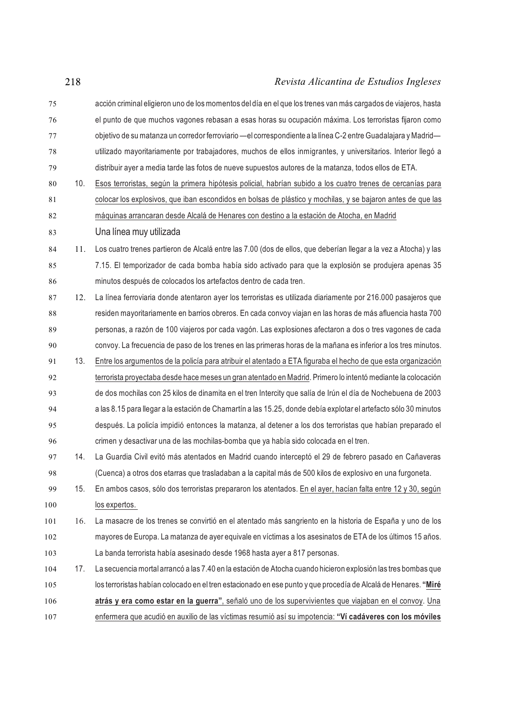acción criminal eligieron uno de losmomentos del día en el que los trenes van más cargados de viajeros, hasta el punto de que muchos vagones rebasan a esas horas su ocupación máxima. Los terroristas fijaron como objetivo de su matanza un corredor ferroviario —el correspondiente a la línea C-2 entre Guadalajara y Madrid— utilizado mayoritariamente por trabajadores, muchos de ellos inmigrantes, y universitarios. Interior llegó a distribuir ayer a media tarde las fotos de nueve supuestos autores de la matanza, todos ellos de ETA. 10. Esos terroristas, según la primera hipótesis policial, habrían subido a los cuatro trenes de cercanías para colocar los explosivos, que iban escondidos en bolsas de plástico y mochilas, y se bajaron antes de que las .82 máquinas arrancaran desde Alcalá de Henares con destino a la estación de Atocha, en Madrid Una línea muy utilizada 11. Los cuatro trenes partieron de Alcalá entre las 7.00 (dos de ellos, que deberían llegar a la vez a Atocha) y las 7.15. El temporizador de cada bomba había sido activado para que la explosión se produjera apenas 35 minutos después de colocados los artefactos dentro de cada tren. 12. La línea ferroviaria donde atentaron ayer los terroristas es utilizada diariamente por 216.000 pasajeros que residen mayoritariamente en barrios obreros. En cada convoy viajan en las horas de más afluencia hasta 700 personas, a razón de 100 viajeros por cada vagón. Las explosiones afectaron a dos o tres vagones de cada convoy. La frecuencia de paso de los trenes en las primeras horas de la mañana es inferior a los tres minutos. 13. Entre los argumentos de la policía para atribuir el atentado a ETA figuraba el hecho de que esta organización terrorista proyectaba desde hace meses un gran atentado en Madrid. Primero lo intentó mediante la colocación de dos mochilas con 25 kilos de dinamita en el tren Intercity que salía de Irún el día de Nochebuena de 2003 a las 8.15 para llegar a la estación de Chamartín a las 15.25, donde debía explotar el artefacto sólo 30 minutos después. La policía impidió entonces la matanza, al detener a los dos terroristas que habían preparado el crimen y desactivar una de las mochilas-bomba que ya había sido colocada en el tren. 14. La Guardia Civil evitó más atentados en Madrid cuando interceptó el 29 de febrero pasado en Cañaveras (Cuenca) a otros dos etarras que trasladaban a la capital más de 500 kilos de explosivo en una furgoneta. 15. En ambos casos, sólo dos terroristas prepararon los atentados. En el ayer, hacían falta entre 12 y 30, según 100 los expertos. 16. La masacre de los trenes se convirtió en el atentado más sangriento en la historia de España y uno de los mayores de Europa. La matanza de ayer equivale en víctimas a los asesinatos de ETA de los últimos 15 años. La banda terrorista había asesinado desde 1968 hasta ayer a 817 personas. 17. La secuencia mortal arrancó a las 7.40 en la estación de Atocha cuando hicieron explosión las tres bombas que los terroristas habían colocado en el tren estacionado en ese punto y que procedía de Alcalá de Henares. **"Miré atrás y era como estar en la guerra"**, señaló uno de los supervivientes que viajaban en el convoy. Una enfermera que acudió en auxilio de las víctimas resumió así su impotencia: **"Ví cadáveres con los móviles**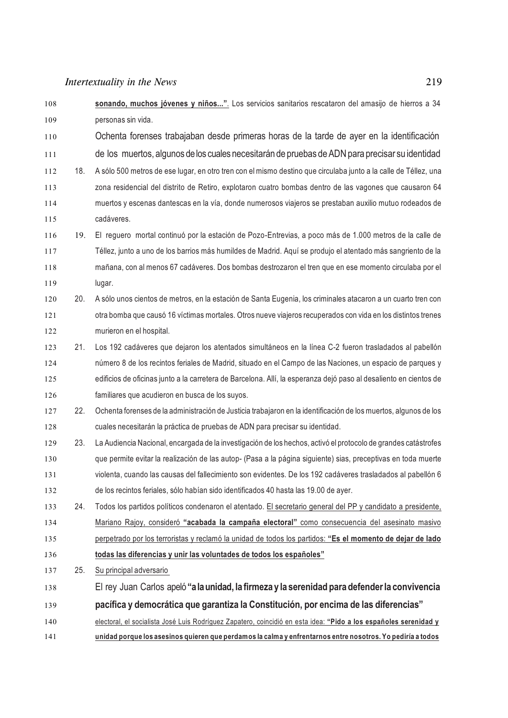| 108 |     | sonando, muchos jóvenes y niños". Los servicios sanitarios rescataron del amasijo de hierros a 34                 |
|-----|-----|-------------------------------------------------------------------------------------------------------------------|
| 109 |     | personas sin vida.                                                                                                |
| 110 |     | Ochenta forenses trabajaban desde primeras horas de la tarde de ayer en la identificación                         |
| 111 |     | de los muertos, algunos de los cuales necesitarán de pruebas de ADN para precisar su identidad                    |
| 112 | 18. | A sólo 500 metros de ese lugar, en otro tren con el mismo destino que circulaba junto a la calle de Téllez, una   |
| 113 |     | zona residencial del distrito de Retiro, explotaron cuatro bombas dentro de las vagones que causaron 64           |
| 114 |     | muertos y escenas dantescas en la vía, donde numerosos viajeros se prestaban auxilio mutuo rodeados de            |
| 115 |     | cadáveres.                                                                                                        |
| 116 | 19. | El reguero mortal continuó por la estación de Pozo-Entrevias, a poco más de 1.000 metros de la calle de           |
| 117 |     | Téllez, junto a uno de los barrios más humildes de Madrid. Aquí se produjo el atentado más sangriento de la       |
| 118 |     | mañana, con al menos 67 cadáveres. Dos bombas destrozaron el tren que en ese momento circulaba por el             |
| 119 |     | lugar.                                                                                                            |
| 120 | 20. | A sólo unos cientos de metros, en la estación de Santa Eugenia, los criminales atacaron a un cuarto tren con      |
| 121 |     | otra bomba que causó 16 víctimas mortales. Otros nueve viajeros recuperados con vida en los distintos trenes      |
| 122 |     | murieron en el hospital.                                                                                          |
| 123 | 21. | Los 192 cadáveres que dejaron los atentados simultáneos en la línea C-2 fueron trasladados al pabellón            |
| 124 |     | número 8 de los recintos feriales de Madrid, situado en el Campo de las Naciones, un espacio de parques y         |
| 125 |     | edificios de oficinas junto a la carretera de Barcelona. Allí, la esperanza dejó paso al desaliento en cientos de |
| 126 |     | familiares que acudieron en busca de los suyos.                                                                   |
| 127 | 22. | Ochenta forenses de la administración de Justicia trabajaron en la identificación de los muertos, algunos de los  |
| 128 |     | cuales necesitarán la práctica de pruebas de ADN para precisar su identidad.                                      |
| 129 | 23. | La Audiencia Nacional, encargada de la investigación de los hechos, activó el protocolo de grandes catástrofes    |
| 130 |     | que permite evitar la realización de las autop- (Pasa a la página siguiente) sias, preceptivas en toda muerte     |
| 131 |     | violenta, cuando las causas del fallecimiento son evidentes. De los 192 cadáveres trasladados al pabellón 6       |
| 132 |     | de los recintos feriales, sólo habían sido identificados 40 hasta las 19.00 de ayer.                              |
| 133 | 24. | Todos los partidos políticos condenaron el atentado. El secretario general del PP y candidato a presidente,       |
| 134 |     | Mariano Rajoy, consideró "acabada la campaña electoral" como consecuencia del asesinato masivo                    |
| 135 |     | perpetrado por los terroristas y reclamó la unidad de todos los partidos: "Es el momento de dejar de lado         |
| 136 |     | todas las diferencias y unir las voluntades de todos los españoles"                                               |
| 137 | 25. | Su principal adversario                                                                                           |
| 138 |     | El rey Juan Carlos apeló "a la unidad, la firmeza y la serenidad para defender la convivencia                     |
| 139 |     | pacífica y democrática que garantiza la Constitución, por encima de las diferencias"                              |
| 140 |     | electoral, el socialista José Luis Rodríguez Zapatero, coincidió en esta idea: "Pido a los españoles serenidad y  |
| 141 |     | unidad porque los asesinos quieren que perdamos la calma y enfrentarnos entre nosotros. Yo pediría a todos        |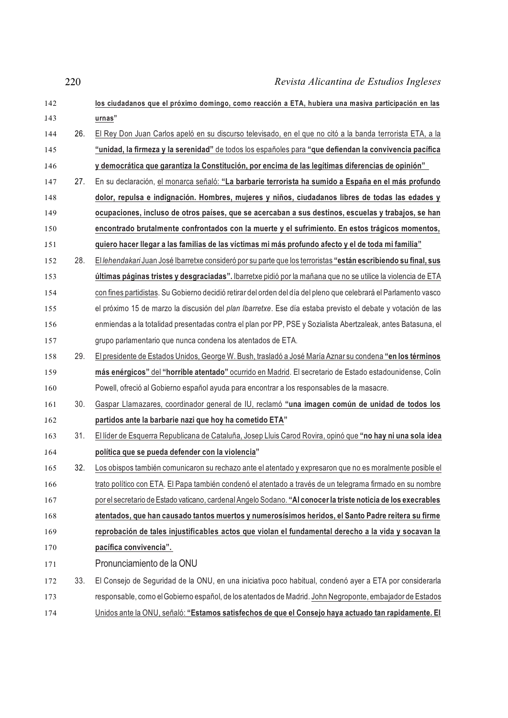| 142 |     | los ciudadanos que el próximo domingo, como reacción a ETA, hubiera una masiva participación en las              |
|-----|-----|------------------------------------------------------------------------------------------------------------------|
| 143 |     | urnas"                                                                                                           |
| 144 | 26. | El Rey Don Juan Carlos apeló en su discurso televisado, en el que no citó a la banda terrorista ETA, a la        |
| 145 |     | "unidad, la firmeza y la serenidad" de todos los españoles para "que defiendan la convivencia pacífica           |
| 146 |     | y democrática que garantiza la Constitución, por encima de las legítimas diferencias de opinión"                 |
| 147 | 27. | En su declaración, el monarca señaló: "La barbarie terrorista ha sumido a España en el más profundo              |
| 148 |     | dolor, repulsa e indignación. Hombres, mujeres y niños, ciudadanos libres de todas las edades y                  |
| 149 |     | ocupaciones, incluso de otros países, que se acercaban a sus destinos, escuelas y trabajos, se han               |
| 150 |     | encontrado brutalmente confrontados con la muerte y el sufrimiento. En estos trágicos momentos,                  |
| 151 |     | quiero hacer llegar a las familias de las víctimas mi más profundo afecto y el de toda mi familia"               |
| 152 | 28. | El lehendakari Juan José Ibarretxe consideró por su parte que los terroristas "están escribiendo su final, sus   |
| 153 |     | últimas páginas tristes y desgraciadas". Ibarretxe pidió por la mañana que no se utilice la violencia de ETA     |
| 154 |     | con fines partidistas. Su Gobierno decidió retirar del orden del día del pleno que celebrará el Parlamento vasco |
| 155 |     | el próximo 15 de marzo la discusión del plan Ibarretxe. Ese día estaba previsto el debate y votación de las      |
| 156 |     | enmiendas a la totalidad presentadas contra el plan por PP, PSE y Sozialista Abertzaleak, antes Batasuna, el     |
| 157 |     | grupo parlamentario que nunca condena los atentados de ETA.                                                      |
| 158 | 29. | El presidente de Estados Unidos, George W. Bush, trasladó a José María Aznar su condena "en los términos"        |
| 159 |     | más enérgicos" del "horrible atentado" ocurrido en Madrid. El secretario de Estado estadounidense, Colin         |
| 160 |     | Powell, ofreció al Gobierno español ayuda para encontrar a los responsables de la masacre.                       |
| 161 | 30. | Gaspar Llamazares, coordinador general de IU, reclamó "una imagen común de unidad de todos los                   |
| 162 |     | partidos ante la barbarie nazi que hoy ha cometido ETA"                                                          |
| 163 | 31. | El líder de Esquerra Republicana de Cataluña, Josep Lluis Carod Rovira, opinó que "no hay ni una sola idea       |
| 164 |     | política que se pueda defender con la violencia"                                                                 |
| 165 | 32. | Los obispos también comunicaron su rechazo ante el atentado y expresaron que no es moralmente posible el         |
| 166 |     | trato político con ETA. El Papa también condenó el atentado a través de un telegrama firmado en su nombre        |
| 167 |     | por el secretario de Estado vaticano, cardenal Angelo Sodano. "Al conocer la triste noticia de los execrables    |
| 168 |     | atentados, que han causado tantos muertos y numerosísimos heridos, el Santo Padre reitera su firme               |
| 169 |     | reprobación de tales injustificables actos que violan el fundamental derecho a la vida y socavan la              |
| 170 |     | pacífica convivencia".                                                                                           |
| 171 |     | Pronunciamiento de la ONU                                                                                        |
| 172 | 33. | El Consejo de Seguridad de la ONU, en una iniciativa poco habitual, condenó ayer a ETA por considerarla          |
| 173 |     | responsable, como el Gobierno español, de los atentados de Madrid. John Negroponte, embajador de Estados         |
| 174 |     | Unidos ante la ONU, señaló: "Estamos satisfechos de que el Consejo haya actuado tan rapidamente. El              |